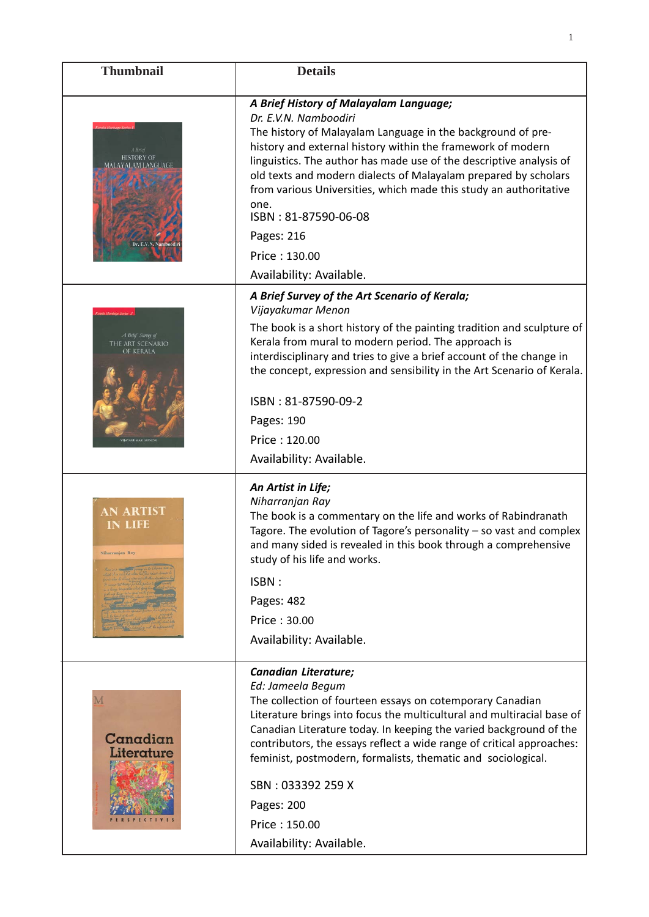| <b>Thumbnail</b>                                         | <b>Details</b>                                                                                                                                                                                                                                                                                                                                                                                                                                                                                          |
|----------------------------------------------------------|---------------------------------------------------------------------------------------------------------------------------------------------------------------------------------------------------------------------------------------------------------------------------------------------------------------------------------------------------------------------------------------------------------------------------------------------------------------------------------------------------------|
| <b>HISTORY OF</b><br>AM LANGUAGI<br>Dr. E.V.N. Namboodir | A Brief History of Malayalam Language;<br>Dr. E.V.N. Namboodiri<br>The history of Malayalam Language in the background of pre-<br>history and external history within the framework of modern<br>linguistics. The author has made use of the descriptive analysis of<br>old texts and modern dialects of Malayalam prepared by scholars<br>from various Universities, which made this study an authoritative<br>one.<br>ISBN: 81-87590-06-08<br>Pages: 216<br>Price: 130.00<br>Availability: Available. |
| A Brief Survey of<br>THE ART SCENARIO<br>de kerala       | A Brief Survey of the Art Scenario of Kerala;<br>Vijayakumar Menon<br>The book is a short history of the painting tradition and sculpture of<br>Kerala from mural to modern period. The approach is<br>interdisciplinary and tries to give a brief account of the change in<br>the concept, expression and sensibility in the Art Scenario of Kerala.<br>ISBN: 81-87590-09-2<br>Pages: 190<br>Price: 120.00<br>Availability: Available.                                                                 |
| <b>AN ARTIST</b><br><b>IN LIFE</b><br>Niharranjan Ray    | An Artist in Life;<br>Niharranjan Ray<br>The book is a commentary on the life and works of Rabindranath<br>Tagore. The evolution of Tagore's personality - so vast and complex<br>and many sided is revealed in this book through a comprehensive<br>study of his life and works.<br>ISBN:<br>Pages: 482<br>Price: 30.00<br>Availability: Available.                                                                                                                                                    |
| Canadian<br>Literature                                   | Canadian Literature;<br>Ed: Jameela Begum<br>The collection of fourteen essays on cotemporary Canadian<br>Literature brings into focus the multicultural and multiracial base of<br>Canadian Literature today. In keeping the varied background of the<br>contributors, the essays reflect a wide range of critical approaches:<br>feminist, postmodern, formalists, thematic and sociological.<br>SBN: 033392 259 X<br>Pages: 200<br>Price: 150.00<br>Availability: Available.                         |

1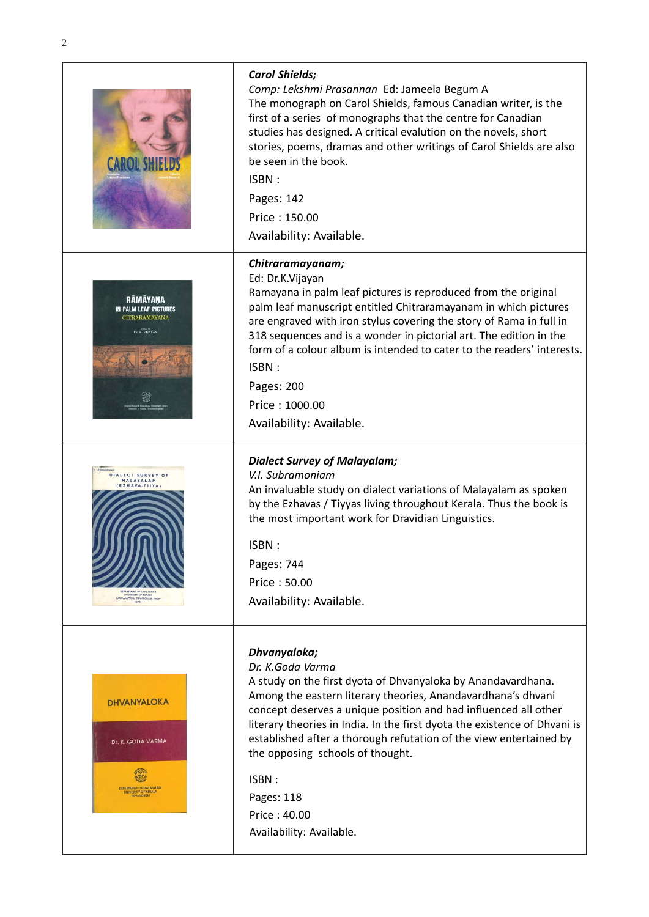|                                                                                                                                                       | <b>Carol Shields;</b><br>Comp: Lekshmi Prasannan Ed: Jameela Begum A<br>The monograph on Carol Shields, famous Canadian writer, is the<br>first of a series of monographs that the centre for Canadian<br>studies has designed. A critical evalution on the novels, short<br>stories, poems, dramas and other writings of Carol Shields are also<br>be seen in the book.<br>ISBN:<br>Pages: 142<br>Price: 150.00<br>Availability: Available.                                                  |
|-------------------------------------------------------------------------------------------------------------------------------------------------------|-----------------------------------------------------------------------------------------------------------------------------------------------------------------------------------------------------------------------------------------------------------------------------------------------------------------------------------------------------------------------------------------------------------------------------------------------------------------------------------------------|
| <b>RÂMÂYANA</b><br><b>IN PALM LEAF PICTURES</b><br>CITRARÁMÁYANA<br>Dr K. VIJAYAN                                                                     | Chitraramayanam;<br>Ed: Dr.K.Vijayan<br>Ramayana in palm leaf pictures is reproduced from the original<br>palm leaf manuscript entitled Chitraramayanam in which pictures<br>are engraved with iron stylus covering the story of Rama in full in<br>318 sequences and is a wonder in pictorial art. The edition in the<br>form of a colour album is intended to cater to the readers' interests.<br>ISBN:<br>Pages: 200<br>Price: 1000.00<br>Availability: Available.                         |
| DIALECT SURVEY OF<br>MALAYALAM<br><b>EZHAVA.TIIYA</b><br>DEPARTMENT OF LINGUISTICS<br>UNIVERSITY OF KERALA<br>KARIYAVATTOM, TRIVANDRUM, INDIA<br>1974 | <b>Dialect Survey of Malayalam;</b><br>V.I. Subramoniam<br>An invaluable study on dialect variations of Malayalam as spoken<br>by the Ezhavas / Tiyyas living throughout Kerala. Thus the book is<br>the most important work for Dravidian Linguistics.<br>ISBN:<br>Pages: 744<br>Price: 50.00<br>Availability: Available.                                                                                                                                                                    |
| <b>DHVANYALOKA</b><br>Dr. K. GODA VARMA<br>DEPARTMENT OF MALAYALAM<br>UNIVERSITY OF KERALA<br>TRIVANDRUM                                              | Dhvanyaloka;<br>Dr. K.Goda Varma<br>A study on the first dyota of Dhvanyaloka by Anandavardhana.<br>Among the eastern literary theories, Anandavardhana's dhvani<br>concept deserves a unique position and had influenced all other<br>literary theories in India. In the first dyota the existence of Dhvani is<br>established after a thorough refutation of the view entertained by<br>the opposing schools of thought.<br>ISBN:<br>Pages: 118<br>Price: 40.00<br>Availability: Available. |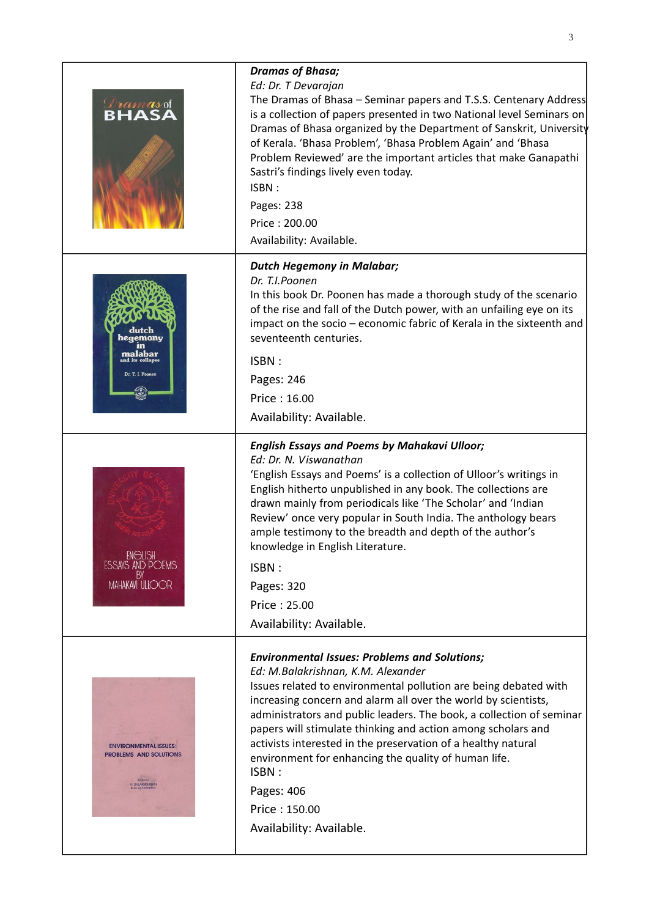| <i><b>Dramasot</b></i><br><b>RHASA</b>                                           | <b>Dramas of Bhasa;</b><br>Ed: Dr. T Devarajan<br>The Dramas of Bhasa – Seminar papers and T.S.S. Centenary Address<br>is a collection of papers presented in two National level Seminars on<br>Dramas of Bhasa organized by the Department of Sanskrit, University<br>of Kerala. 'Bhasa Problem', 'Bhasa Problem Again' and 'Bhasa<br>Problem Reviewed' are the important articles that make Ganapathi<br>Sastri's findings lively even today.<br>ISBN:<br>Pages: 238<br>Price: 200.00<br>Availability: Available.                                                   |
|----------------------------------------------------------------------------------|-----------------------------------------------------------------------------------------------------------------------------------------------------------------------------------------------------------------------------------------------------------------------------------------------------------------------------------------------------------------------------------------------------------------------------------------------------------------------------------------------------------------------------------------------------------------------|
| emonu<br>malabar<br>d its collapse<br>Dr. T. I. Poonen                           | <b>Dutch Hegemony in Malabar;</b><br>Dr. T.I.Poonen<br>In this book Dr. Poonen has made a thorough study of the scenario<br>of the rise and fall of the Dutch power, with an unfailing eye on its<br>impact on the socio - economic fabric of Kerala in the sixteenth and<br>seventeenth centuries.<br>ISBN:<br>Pages: 246<br>Price: 16.00<br>Availability: Available.                                                                                                                                                                                                |
| <b>ENGLISH</b><br><b>ESSAYS AND POEMS</b><br><b>MAHAKAVI ULIOOR</b>              | <b>English Essays and Poems by Mahakavi Ulloor;</b><br>Ed: Dr. N. Viswanathan<br>'English Essays and Poems' is a collection of Ulloor's writings in<br>English hitherto unpublished in any book. The collections are<br>drawn mainly from periodicals like 'The Scholar' and 'Indian<br>Review' once very popular in South India. The anthology bears<br>ample testimony to the breadth and depth of the author's<br>knowledge in English Literature.<br>ISBN:<br>Pages: 320<br>Price: 25.00<br>Availability: Available.                                              |
| <b>ENVIRONMENTAL ISSUES:</b><br><b>PROBLEMS AND SOLUTIONS</b><br>M. BALAKRISHMAN | <b>Environmental Issues: Problems and Solutions;</b><br>Ed: M.Balakrishnan, K.M. Alexander<br>Issues related to environmental pollution are being debated with<br>increasing concern and alarm all over the world by scientists,<br>administrators and public leaders. The book, a collection of seminar<br>papers will stimulate thinking and action among scholars and<br>activists interested in the preservation of a healthy natural<br>environment for enhancing the quality of human life.<br>ISBN:<br>Pages: 406<br>Price: 150.00<br>Availability: Available. |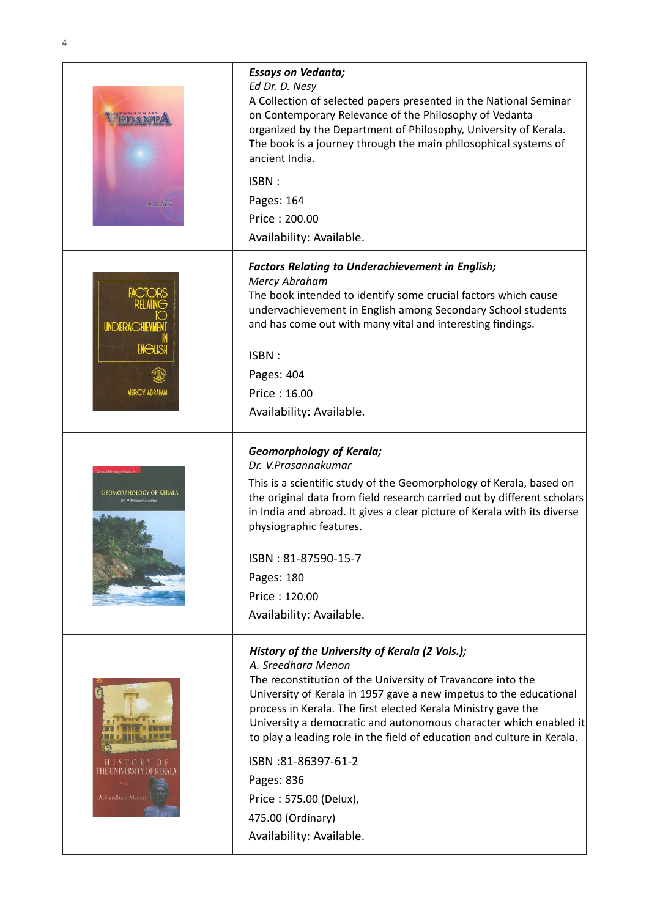| Dr. D. NESY                                               | <b>Essays on Vedanta;</b><br>Ed Dr. D. Nesy<br>A Collection of selected papers presented in the National Seminar<br>on Contemporary Relevance of the Philosophy of Vedanta<br>organized by the Department of Philosophy, University of Kerala.<br>The book is a journey through the main philosophical systems of<br>ancient India.<br>ISBN:<br>Pages: 164<br>Price: 200.00<br>Availability: Available.                                                                                                                                   |
|-----------------------------------------------------------|-------------------------------------------------------------------------------------------------------------------------------------------------------------------------------------------------------------------------------------------------------------------------------------------------------------------------------------------------------------------------------------------------------------------------------------------------------------------------------------------------------------------------------------------|
| UNDERACHIEVMENT<br><b>ENGLISH</b><br><b>MERCY ABRAHAM</b> | <b>Factors Relating to Underachievement in English;</b><br>Mercy Abraham<br>The book intended to identify some crucial factors which cause<br>undervachievement in English among Secondary School students<br>and has come out with many vital and interesting findings.<br>ISBN:<br>Pages: 404<br>Price: 16.00<br>Availability: Available.                                                                                                                                                                                               |
| <b>GEOMORPHOLOGY OF KERALA</b><br>Dr. V.Prasannakuma      | <b>Geomorphology of Kerala;</b><br>Dr. V.Prasannakumar<br>This is a scientific study of the Geomorphology of Kerala, based on<br>the original data from field research carried out by different scholars<br>in India and abroad. It gives a clear picture of Kerala with its diverse<br>physiographic features.<br>ISBN: 81-87590-15-7<br>Pages: 180<br>Price: 120.00<br>Availability: Available.                                                                                                                                         |
| A.Sreedhara Menon                                         | History of the University of Kerala (2 Vols.);<br>A. Sreedhara Menon<br>The reconstitution of the University of Travancore into the<br>University of Kerala in 1957 gave a new impetus to the educational<br>process in Kerala. The first elected Kerala Ministry gave the<br>University a democratic and autonomous character which enabled it<br>to play a leading role in the field of education and culture in Kerala.<br>ISBN:81-86397-61-2<br>Pages: 836<br>Price: 575.00 (Delux),<br>475.00 (Ordinary)<br>Availability: Available. |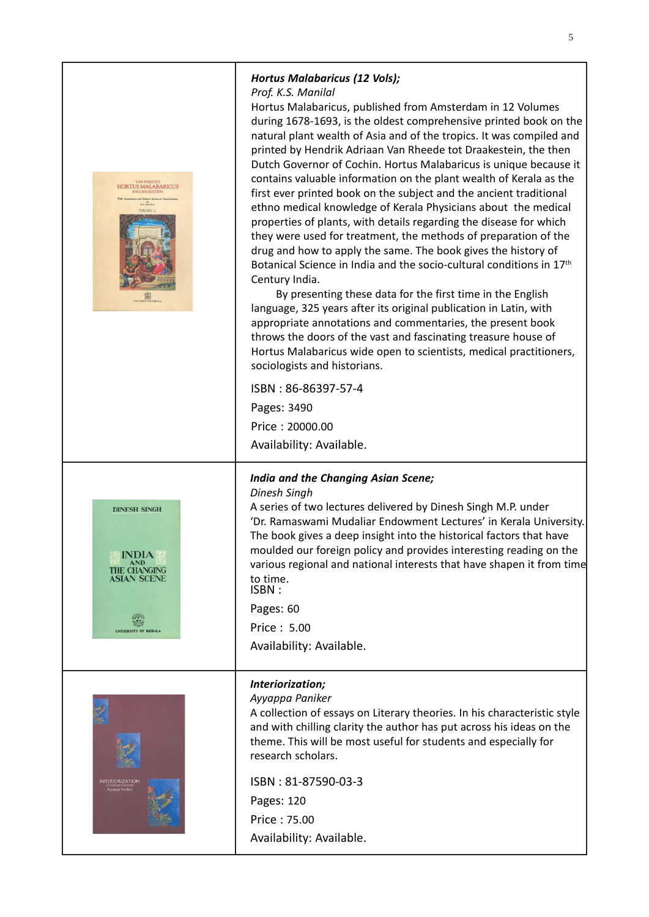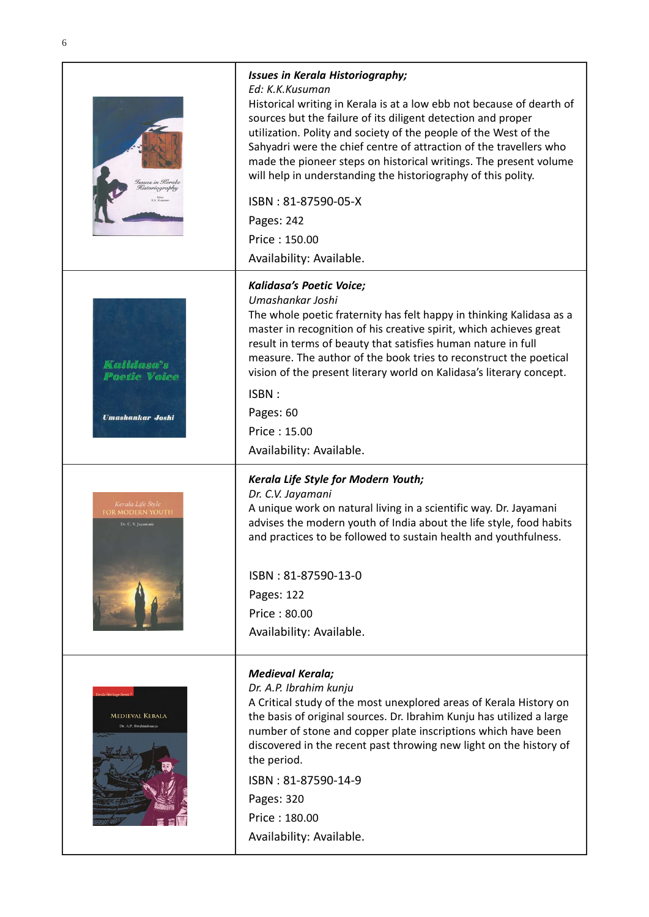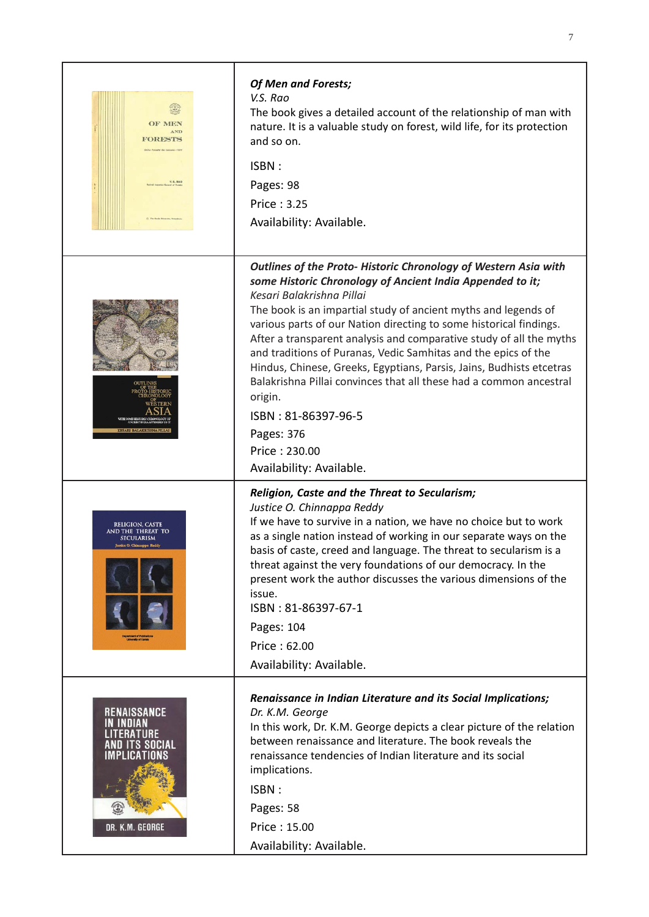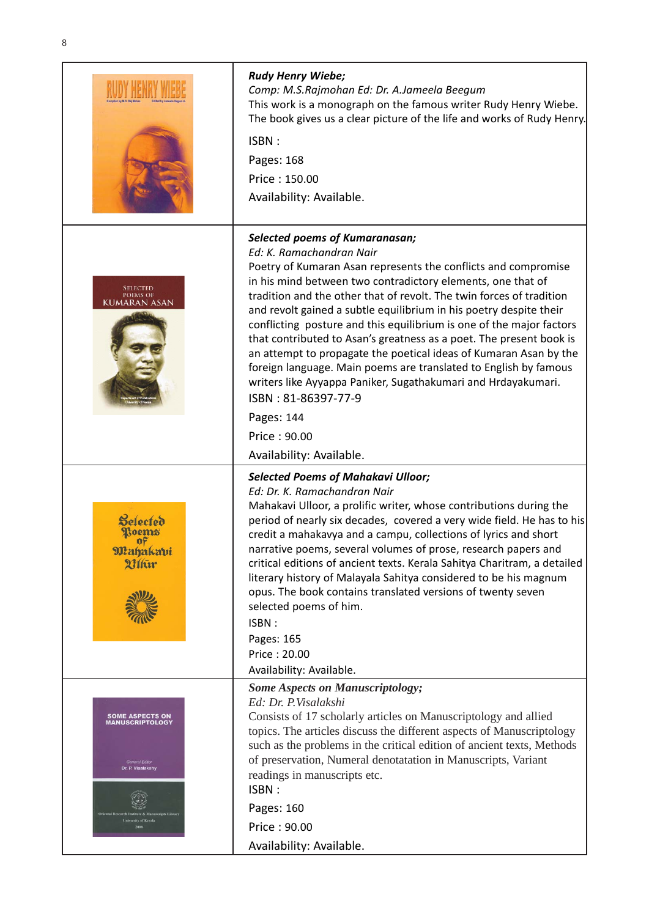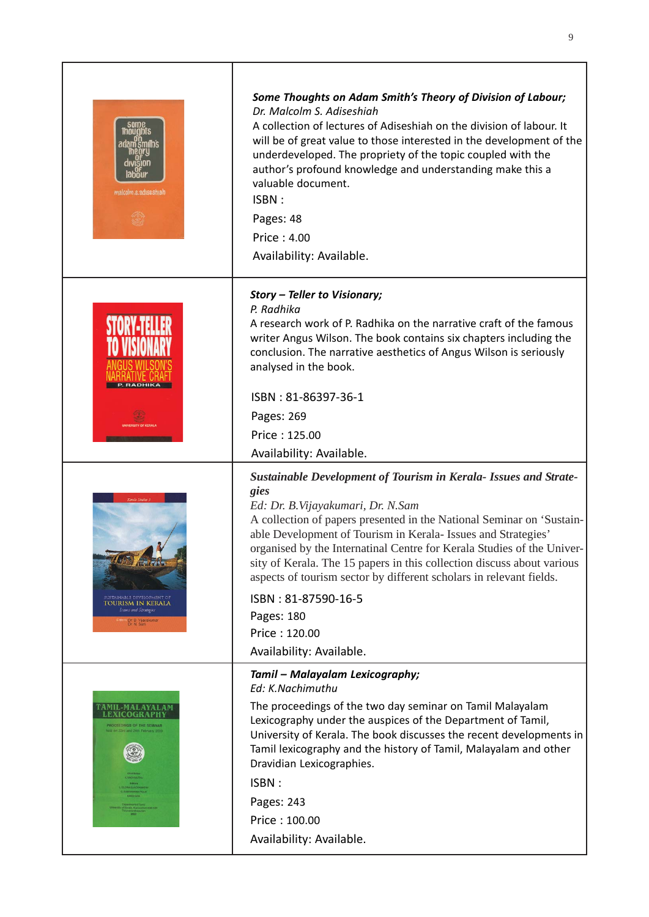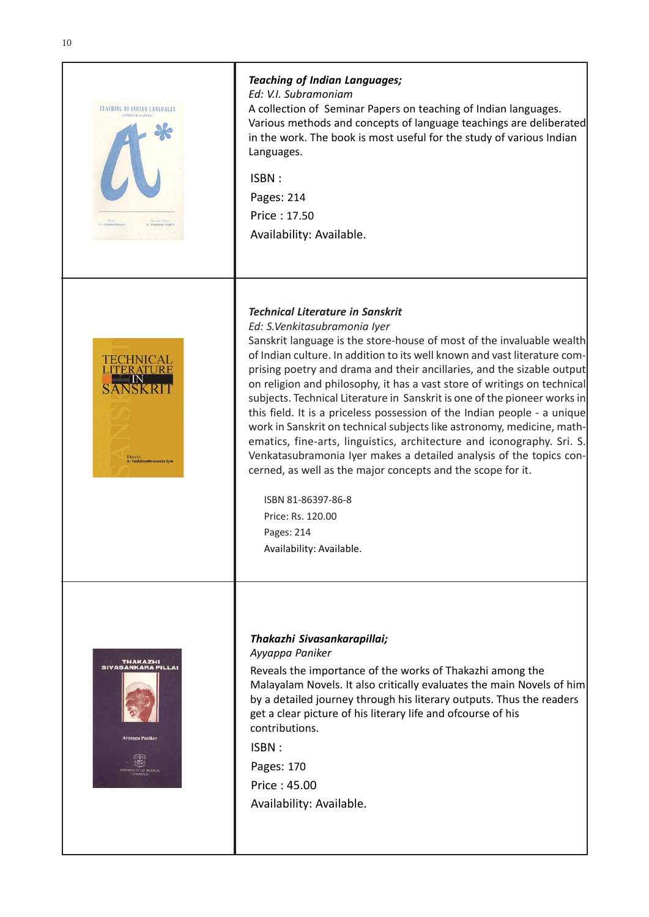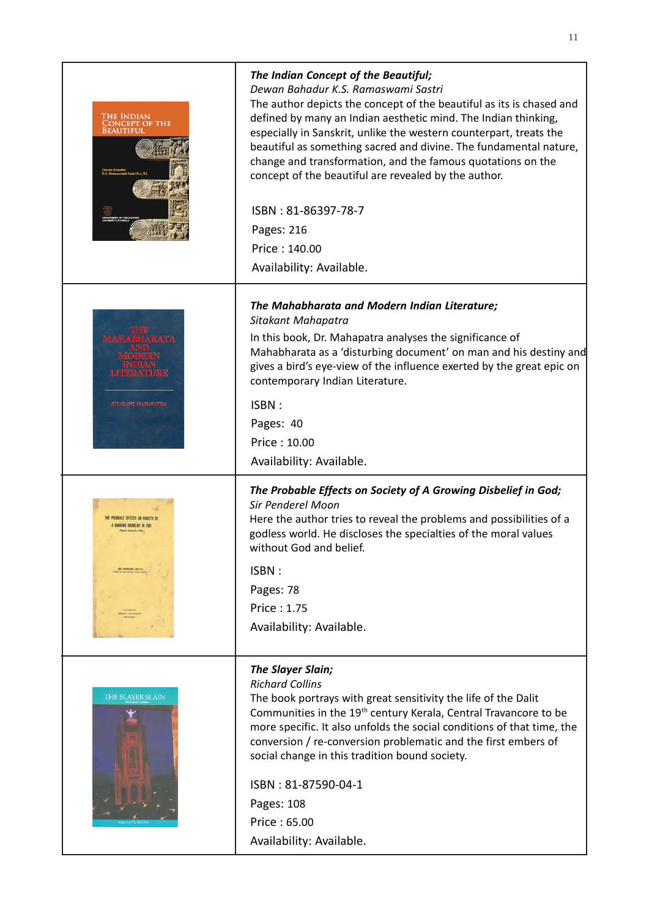